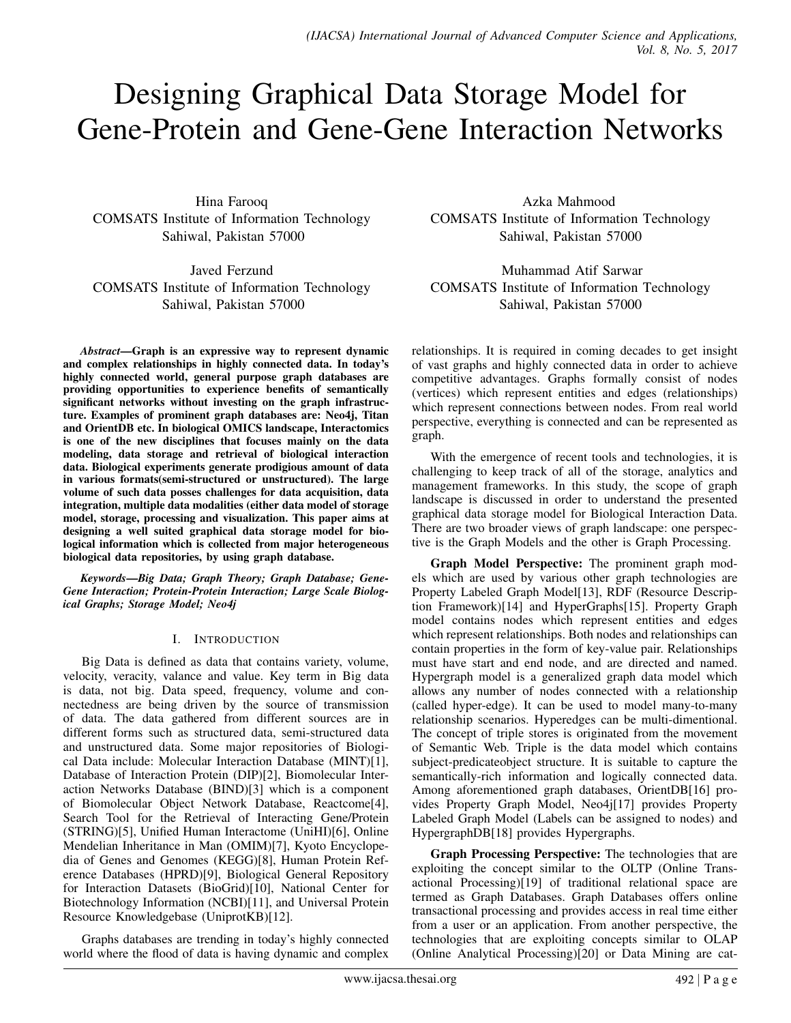# Designing Graphical Data Storage Model for Gene-Protein and Gene-Gene Interaction Networks

Hina Farooq COMSATS Institute of Information Technology Sahiwal, Pakistan 57000

Javed Ferzund COMSATS Institute of Information Technology Sahiwal, Pakistan 57000

*Abstract*—Graph is an expressive way to represent dynamic and complex relationships in highly connected data. In today's highly connected world, general purpose graph databases are providing opportunities to experience benefits of semantically significant networks without investing on the graph infrastructure. Examples of prominent graph databases are: Neo4j, Titan and OrientDB etc. In biological OMICS landscape, Interactomics is one of the new disciplines that focuses mainly on the data modeling, data storage and retrieval of biological interaction data. Biological experiments generate prodigious amount of data in various formats(semi-structured or unstructured). The large volume of such data posses challenges for data acquisition, data integration, multiple data modalities (either data model of storage model, storage, processing and visualization. This paper aims at designing a well suited graphical data storage model for biological information which is collected from major heterogeneous biological data repositories, by using graph database.

*Keywords*—*Big Data; Graph Theory; Graph Database; Gene-Gene Interaction; Protein-Protein Interaction; Large Scale Biological Graphs; Storage Model; Neo4j*

## I. INTRODUCTION

Big Data is defined as data that contains variety, volume, velocity, veracity, valance and value. Key term in Big data is data, not big. Data speed, frequency, volume and connectedness are being driven by the source of transmission of data. The data gathered from different sources are in different forms such as structured data, semi-structured data and unstructured data. Some major repositories of Biological Data include: Molecular Interaction Database (MINT)[1], Database of Interaction Protein (DIP)[2], Biomolecular Interaction Networks Database (BIND)[3] which is a component of Biomolecular Object Network Database, Reactcome[4], Search Tool for the Retrieval of Interacting Gene/Protein (STRING)[5], Unified Human Interactome (UniHI)[6], Online Mendelian Inheritance in Man (OMIM)[7], Kyoto Encyclopedia of Genes and Genomes (KEGG)[8], Human Protein Reference Databases (HPRD)[9], Biological General Repository for Interaction Datasets (BioGrid)[10], National Center for Biotechnology Information (NCBI)[11], and Universal Protein Resource Knowledgebase (UniprotKB)[12].

Graphs databases are trending in today's highly connected world where the flood of data is having dynamic and complex

Azka Mahmood COMSATS Institute of Information Technology Sahiwal, Pakistan 57000

Muhammad Atif Sarwar COMSATS Institute of Information Technology Sahiwal, Pakistan 57000

relationships. It is required in coming decades to get insight of vast graphs and highly connected data in order to achieve competitive advantages. Graphs formally consist of nodes (vertices) which represent entities and edges (relationships) which represent connections between nodes. From real world perspective, everything is connected and can be represented as graph.

With the emergence of recent tools and technologies, it is challenging to keep track of all of the storage, analytics and management frameworks. In this study, the scope of graph landscape is discussed in order to understand the presented graphical data storage model for Biological Interaction Data. There are two broader views of graph landscape: one perspective is the Graph Models and the other is Graph Processing.

Graph Model Perspective: The prominent graph models which are used by various other graph technologies are Property Labeled Graph Model[13], RDF (Resource Description Framework)[14] and HyperGraphs[15]. Property Graph model contains nodes which represent entities and edges which represent relationships. Both nodes and relationships can contain properties in the form of key-value pair. Relationships must have start and end node, and are directed and named. Hypergraph model is a generalized graph data model which allows any number of nodes connected with a relationship (called hyper-edge). It can be used to model many-to-many relationship scenarios. Hyperedges can be multi-dimentional. The concept of triple stores is originated from the movement of Semantic Web. Triple is the data model which contains subject-predicateobject structure. It is suitable to capture the semantically-rich information and logically connected data. Among aforementioned graph databases, OrientDB[16] provides Property Graph Model, Neo4j[17] provides Property Labeled Graph Model (Labels can be assigned to nodes) and HypergraphDB[18] provides Hypergraphs.

Graph Processing Perspective: The technologies that are exploiting the concept similar to the OLTP (Online Transactional Processing)[19] of traditional relational space are termed as Graph Databases. Graph Databases offers online transactional processing and provides access in real time either from a user or an application. From another perspective, the technologies that are exploiting concepts similar to OLAP (Online Analytical Processing)[20] or Data Mining are cat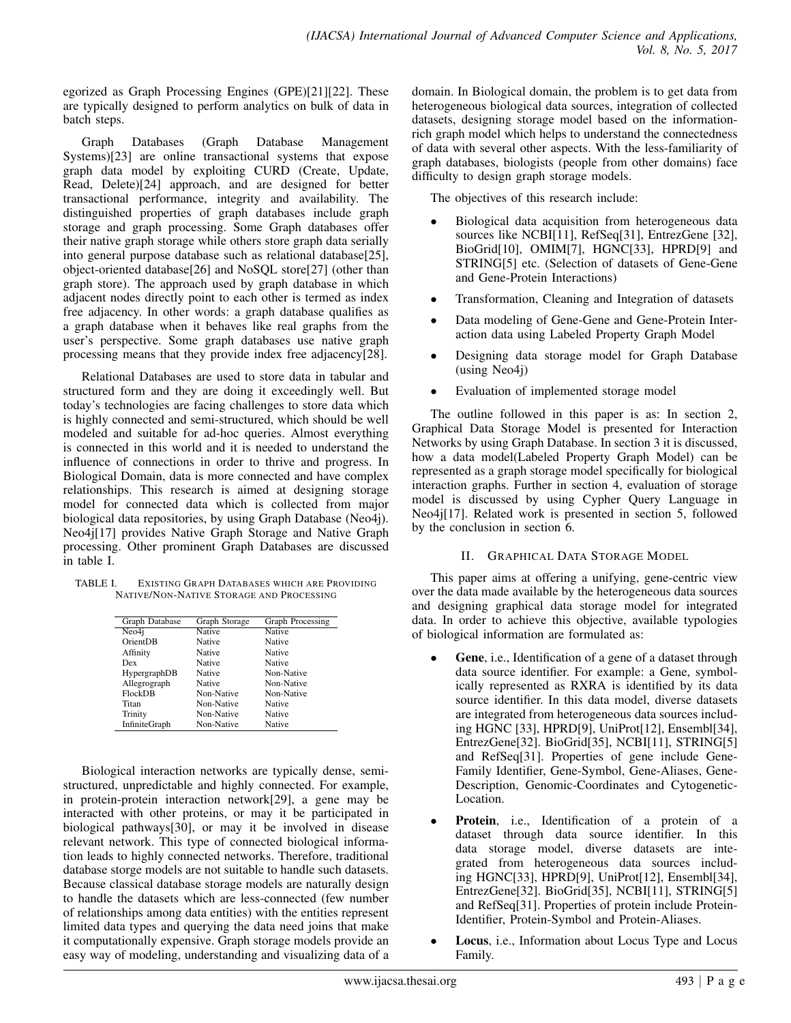egorized as Graph Processing Engines (GPE)[21][22]. These are typically designed to perform analytics on bulk of data in batch steps.

Graph Databases (Graph Database Management Systems)[23] are online transactional systems that expose graph data model by exploiting CURD (Create, Update, Read, Delete)[24] approach, and are designed for better transactional performance, integrity and availability. The distinguished properties of graph databases include graph storage and graph processing. Some Graph databases offer their native graph storage while others store graph data serially into general purpose database such as relational database[25], object-oriented database[26] and NoSQL store[27] (other than graph store). The approach used by graph database in which adjacent nodes directly point to each other is termed as index free adjacency. In other words: a graph database qualifies as a graph database when it behaves like real graphs from the user's perspective. Some graph databases use native graph processing means that they provide index free adjacency[28].

Relational Databases are used to store data in tabular and structured form and they are doing it exceedingly well. But today's technologies are facing challenges to store data which is highly connected and semi-structured, which should be well modeled and suitable for ad-hoc queries. Almost everything is connected in this world and it is needed to understand the influence of connections in order to thrive and progress. In Biological Domain, data is more connected and have complex relationships. This research is aimed at designing storage model for connected data which is collected from major biological data repositories, by using Graph Database (Neo4j). Neo4j[17] provides Native Graph Storage and Native Graph processing. Other prominent Graph Databases are discussed in table I.

TABLE I. EXISTING GRAPH DATABASES WHICH ARE PROVIDING NATIVE/NON-NATIVE STORAGE AND PROCESSING

| Graph Database | Graph Storage | Graph Processing |
|----------------|---------------|------------------|
| Neo4i          | Native        | Native           |
| OrientDB       | Native        | Native           |
| Affinity       | Native        | Native           |
| Dex            | Native        | Native           |
| HypergraphDB   | Native        | Non-Native       |
| Allegrograph   | Native        | Non-Native       |
| FlockDB        | Non-Native    | Non-Native       |
| Titan          | Non-Native    | Native           |
| Trinity        | Non-Native    | Native           |
| InfiniteGraph  | Non-Native    | Native           |

Biological interaction networks are typically dense, semistructured, unpredictable and highly connected. For example, in protein-protein interaction network[29], a gene may be interacted with other proteins, or may it be participated in biological pathways[30], or may it be involved in disease relevant network. This type of connected biological information leads to highly connected networks. Therefore, traditional database storge models are not suitable to handle such datasets. Because classical database storage models are naturally design to handle the datasets which are less-connected (few number of relationships among data entities) with the entities represent limited data types and querying the data need joins that make it computationally expensive. Graph storage models provide an easy way of modeling, understanding and visualizing data of a domain. In Biological domain, the problem is to get data from heterogeneous biological data sources, integration of collected datasets, designing storage model based on the informationrich graph model which helps to understand the connectedness of data with several other aspects. With the less-familiarity of graph databases, biologists (people from other domains) face difficulty to design graph storage models.

The objectives of this research include:

- Biological data acquisition from heterogeneous data sources like NCBI[11], RefSeq[31], EntrezGene [32], BioGrid[10], OMIM[7], HGNC[33], HPRD[9] and STRING[5] etc. (Selection of datasets of Gene-Gene and Gene-Protein Interactions)
- Transformation, Cleaning and Integration of datasets
- Data modeling of Gene-Gene and Gene-Protein Interaction data using Labeled Property Graph Model
- Designing data storage model for Graph Database (using Neo4j)
- Evaluation of implemented storage model

The outline followed in this paper is as: In section 2, Graphical Data Storage Model is presented for Interaction Networks by using Graph Database. In section 3 it is discussed, how a data model(Labeled Property Graph Model) can be represented as a graph storage model specifically for biological interaction graphs. Further in section 4, evaluation of storage model is discussed by using Cypher Query Language in Neo4j[17]. Related work is presented in section 5, followed by the conclusion in section 6.

# II. GRAPHICAL DATA STORAGE MODEL

This paper aims at offering a unifying, gene-centric view over the data made available by the heterogeneous data sources and designing graphical data storage model for integrated data. In order to achieve this objective, available typologies of biological information are formulated as:

- Gene, *i.e.*, Identification of a gene of a dataset through data source identifier. For example: a Gene, symbolically represented as RXRA is identified by its data source identifier. In this data model, diverse datasets are integrated from heterogeneous data sources including HGNC [33], HPRD[9], UniProt[12], Ensembl[34], EntrezGene[32]. BioGrid[35], NCBI[11], STRING[5] and RefSeq[31]. Properties of gene include Gene-Family Identifier, Gene-Symbol, Gene-Aliases, Gene-Description, Genomic-Coordinates and Cytogenetic-Location.
- **Protein**, i.e., Identification of a protein of a dataset through data source identifier. In this data storage model, diverse datasets are integrated from heterogeneous data sources including HGNC[33], HPRD[9], UniProt[12], Ensembl[34], EntrezGene[32]. BioGrid[35], NCBI[11], STRING[5] and RefSeq[31]. Properties of protein include Protein-Identifier, Protein-Symbol and Protein-Aliases.
- Locus, *i.e.*, Information about Locus Type and Locus Family.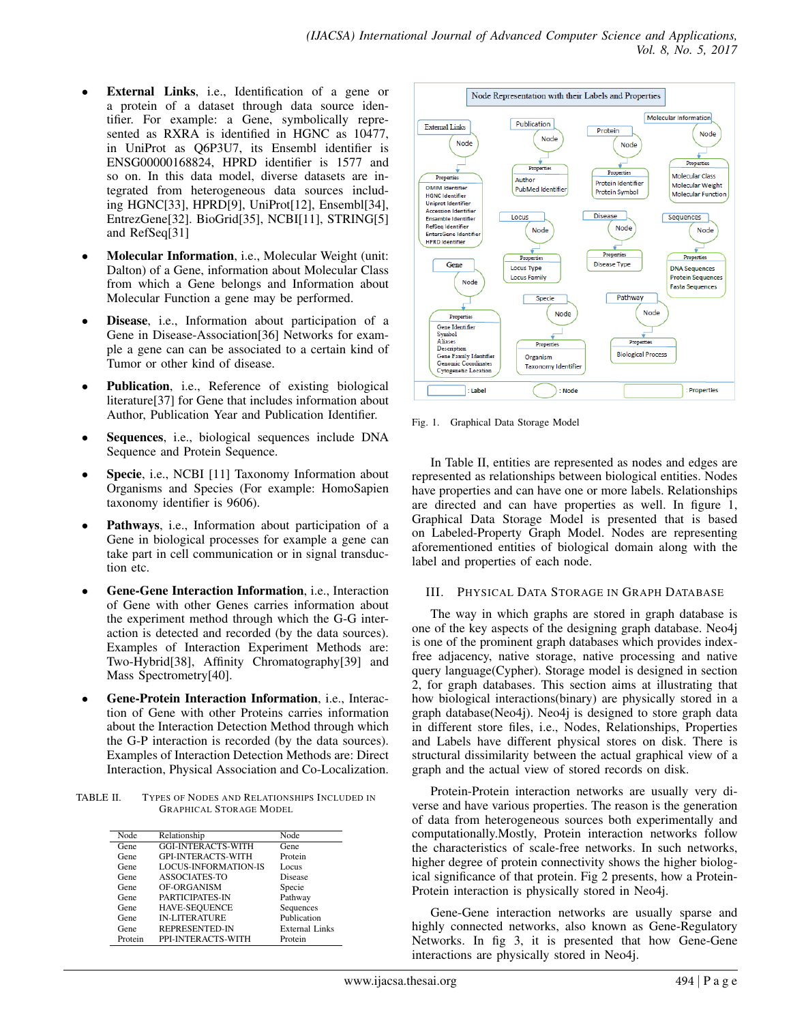- External Links, i.e., Identification of a gene or a protein of a dataset through data source identifier. For example: a Gene, symbolically represented as RXRA is identified in HGNC as 10477, in UniProt as Q6P3U7, its Ensembl identifier is ENSG00000168824, HPRD identifier is 1577 and so on. In this data model, diverse datasets are integrated from heterogeneous data sources including HGNC[33], HPRD[9], UniProt[12], Ensembl[34], EntrezGene[32]. BioGrid[35], NCBI[11], STRING[5] and RefSeq[31]
- Molecular Information, i.e., Molecular Weight (unit: Dalton) of a Gene, information about Molecular Class from which a Gene belongs and Information about Molecular Function a gene may be performed.
- Disease, i.e., Information about participation of a Gene in Disease-Association[36] Networks for example a gene can can be associated to a certain kind of Tumor or other kind of disease.
- Publication, i.e., Reference of existing biological literature[37] for Gene that includes information about Author, Publication Year and Publication Identifier.
- Sequences, i.e., biological sequences include DNA Sequence and Protein Sequence.
- Specie, i.e., NCBI [11] Taxonomy Information about Organisms and Species (For example: HomoSapien taxonomy identifier is 9606).
- Pathways, i.e., Information about participation of a Gene in biological processes for example a gene can take part in cell communication or in signal transduction etc.
- Gene-Gene Interaction Information, i.e., Interaction of Gene with other Genes carries information about the experiment method through which the G-G interaction is detected and recorded (by the data sources). Examples of Interaction Experiment Methods are: Two-Hybrid[38], Affinity Chromatography[39] and Mass Spectrometry[40].
- Gene-Protein Interaction Information, i.e., Interaction of Gene with other Proteins carries information about the Interaction Detection Method through which the G-P interaction is recorded (by the data sources). Examples of Interaction Detection Methods are: Direct Interaction, Physical Association and Co-Localization.

TABLE II. TYPES OF NODES AND RELATIONSHIPS INCLUDED IN GRAPHICAL STORAGE MODEL

| Node    | Relationship                | Node           |
|---------|-----------------------------|----------------|
| Gene    | <b>GGI-INTERACTS-WITH</b>   | Gene           |
| Gene    | <b>GPI-INTERACTS-WITH</b>   | Protein        |
| Gene    | <b>LOCUS-INFORMATION-IS</b> | Locus          |
| Gene    | ASSOCIATES-TO               | Disease        |
| Gene    | OF-ORGANISM                 | Specie         |
| Gene    | PARTICIPATES-IN             | Pathway        |
| Gene    | <b>HAVE-SEQUENCE</b>        | Sequences      |
| Gene    | <b>IN-LITERATURE</b>        | Publication    |
| Gene    | <b>REPRESENTED-IN</b>       | External Links |
| Protein | PPI-INTERACTS-WITH          | Protein        |



Fig. 1. Graphical Data Storage Model

In Table II, entities are represented as nodes and edges are represented as relationships between biological entities. Nodes have properties and can have one or more labels. Relationships are directed and can have properties as well. In figure 1, Graphical Data Storage Model is presented that is based on Labeled-Property Graph Model. Nodes are representing aforementioned entities of biological domain along with the label and properties of each node.

#### III. PHYSICAL DATA STORAGE IN GRAPH DATABASE

The way in which graphs are stored in graph database is one of the key aspects of the designing graph database. Neo4j is one of the prominent graph databases which provides indexfree adjacency, native storage, native processing and native query language(Cypher). Storage model is designed in section 2, for graph databases. This section aims at illustrating that how biological interactions(binary) are physically stored in a graph database(Neo4j). Neo4j is designed to store graph data in different store files, i.e., Nodes, Relationships, Properties and Labels have different physical stores on disk. There is structural dissimilarity between the actual graphical view of a graph and the actual view of stored records on disk.

Protein-Protein interaction networks are usually very diverse and have various properties. The reason is the generation of data from heterogeneous sources both experimentally and computationally.Mostly, Protein interaction networks follow the characteristics of scale-free networks. In such networks, higher degree of protein connectivity shows the higher biological significance of that protein. Fig 2 presents, how a Protein-Protein interaction is physically stored in Neo4j.

Gene-Gene interaction networks are usually sparse and highly connected networks, also known as Gene-Regulatory Networks. In fig 3, it is presented that how Gene-Gene interactions are physically stored in Neo4j.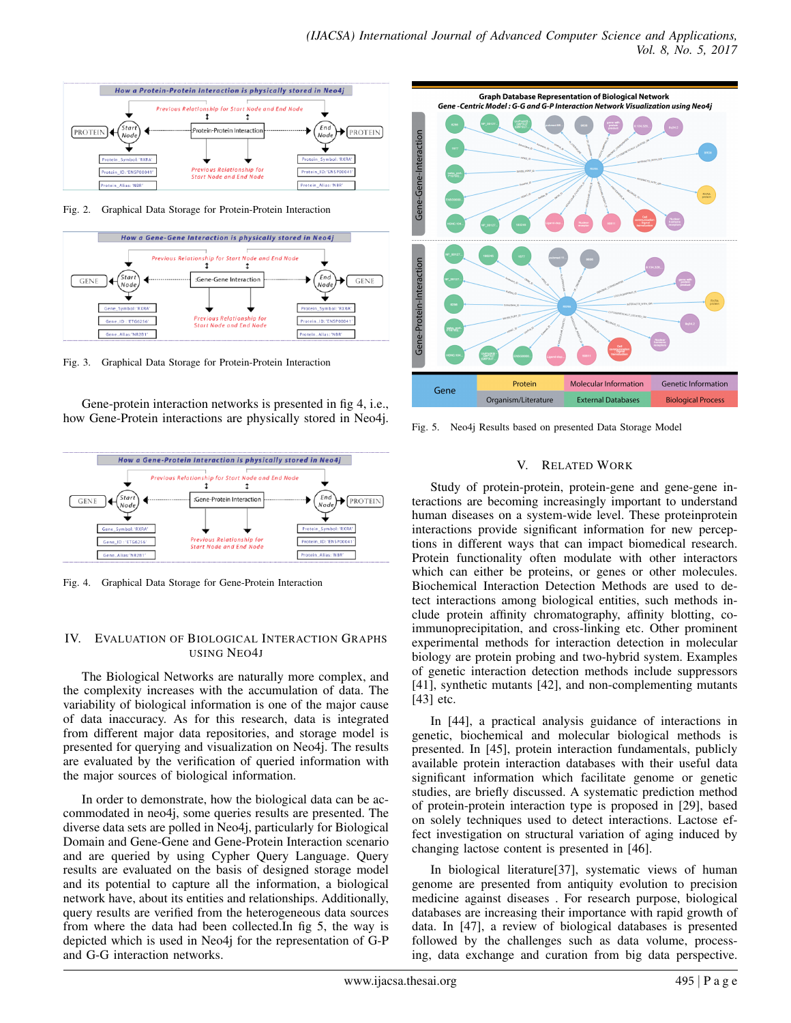

Fig. 2. Graphical Data Storage for Protein-Protein Interaction



Fig. 3. Graphical Data Storage for Protein-Protein Interaction

Gene-protein interaction networks is presented in fig 4, i.e., how Gene-Protein interactions are physically stored in Neo4j.



Fig. 4. Graphical Data Storage for Gene-Protein Interaction

#### IV. EVALUATION OF BIOLOGICAL INTERACTION GRAPHS USING NEO4J

The Biological Networks are naturally more complex, and the complexity increases with the accumulation of data. The variability of biological information is one of the major cause of data inaccuracy. As for this research, data is integrated from different major data repositories, and storage model is presented for querying and visualization on Neo4j. The results are evaluated by the verification of queried information with the major sources of biological information.

In order to demonstrate, how the biological data can be accommodated in neo4j, some queries results are presented. The diverse data sets are polled in Neo4j, particularly for Biological Domain and Gene-Gene and Gene-Protein Interaction scenario and are queried by using Cypher Query Language. Query results are evaluated on the basis of designed storage model and its potential to capture all the information, a biological network have, about its entities and relationships. Additionally, query results are verified from the heterogeneous data sources from where the data had been collected.In fig 5, the way is depicted which is used in Neo4j for the representation of G-P and G-G interaction networks.



Fig. 5. Neo4j Results based on presented Data Storage Model

### V. RELATED WORK

Study of protein-protein, protein-gene and gene-gene interactions are becoming increasingly important to understand human diseases on a system-wide level. These proteinprotein interactions provide significant information for new perceptions in different ways that can impact biomedical research. Protein functionality often modulate with other interactors which can either be proteins, or genes or other molecules. Biochemical Interaction Detection Methods are used to detect interactions among biological entities, such methods include protein affinity chromatography, affinity blotting, coimmunoprecipitation, and cross-linking etc. Other prominent experimental methods for interaction detection in molecular biology are protein probing and two-hybrid system. Examples of genetic interaction detection methods include suppressors [41], synthetic mutants [42], and non-complementing mutants [43] etc.

In [44], a practical analysis guidance of interactions in genetic, biochemical and molecular biological methods is presented. In [45], protein interaction fundamentals, publicly available protein interaction databases with their useful data significant information which facilitate genome or genetic studies, are briefly discussed. A systematic prediction method of protein-protein interaction type is proposed in [29], based on solely techniques used to detect interactions. Lactose effect investigation on structural variation of aging induced by changing lactose content is presented in [46].

In biological literature[37], systematic views of human genome are presented from antiquity evolution to precision medicine against diseases . For research purpose, biological databases are increasing their importance with rapid growth of data. In [47], a review of biological databases is presented followed by the challenges such as data volume, processing, data exchange and curation from big data perspective.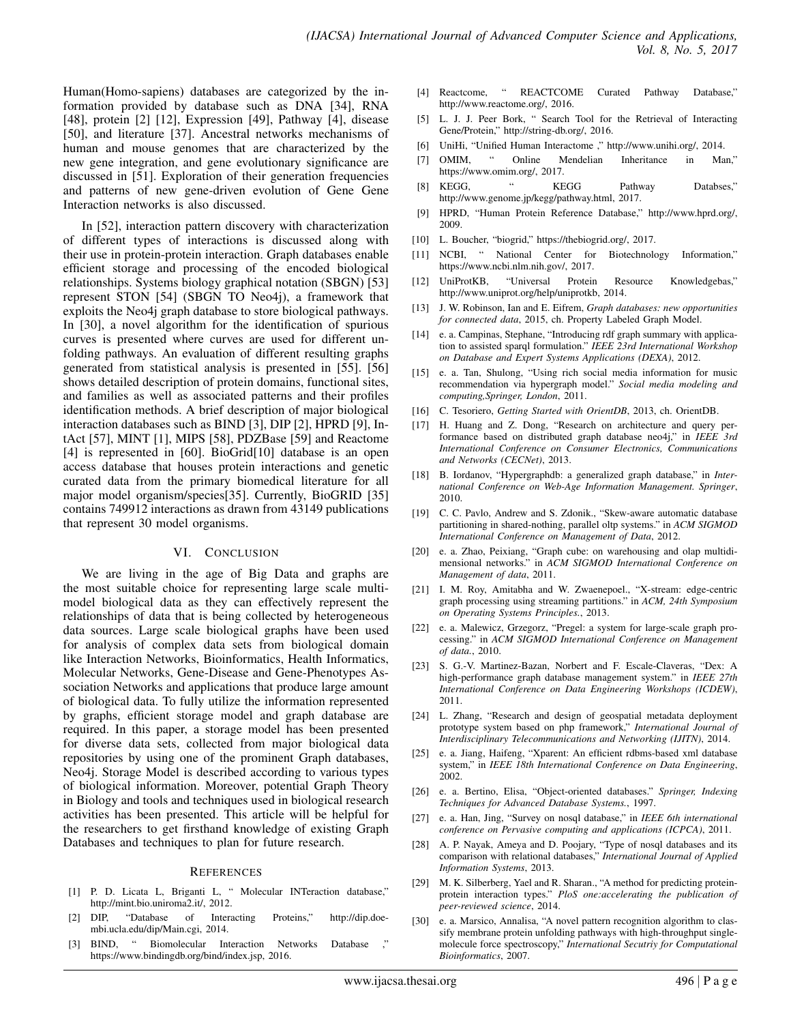Human(Homo-sapiens) databases are categorized by the information provided by database such as DNA [34], RNA [48], protein [2] [12], Expression [49], Pathway [4], disease [50], and literature [37]. Ancestral networks mechanisms of human and mouse genomes that are characterized by the new gene integration, and gene evolutionary significance are discussed in [51]. Exploration of their generation frequencies and patterns of new gene-driven evolution of Gene Gene Interaction networks is also discussed.

In [52], interaction pattern discovery with characterization of different types of interactions is discussed along with their use in protein-protein interaction. Graph databases enable efficient storage and processing of the encoded biological relationships. Systems biology graphical notation (SBGN) [53] represent STON [54] (SBGN TO Neo4j), a framework that exploits the Neo4j graph database to store biological pathways. In [30], a novel algorithm for the identification of spurious curves is presented where curves are used for different unfolding pathways. An evaluation of different resulting graphs generated from statistical analysis is presented in [55]. [56] shows detailed description of protein domains, functional sites, and families as well as associated patterns and their profiles identification methods. A brief description of major biological interaction databases such as BIND [3], DIP [2], HPRD [9], IntAct [57], MINT [1], MIPS [58], PDZBase [59] and Reactome [4] is represented in [60]. BioGrid<sup>[10]</sup> database is an open access database that houses protein interactions and genetic curated data from the primary biomedical literature for all major model organism/species[35]. Currently, BioGRID [35] contains 749912 interactions as drawn from 43149 publications that represent 30 model organisms.

#### VI. CONCLUSION

We are living in the age of Big Data and graphs are the most suitable choice for representing large scale multimodel biological data as they can effectively represent the relationships of data that is being collected by heterogeneous data sources. Large scale biological graphs have been used for analysis of complex data sets from biological domain like Interaction Networks, Bioinformatics, Health Informatics, Molecular Networks, Gene-Disease and Gene-Phenotypes Association Networks and applications that produce large amount of biological data. To fully utilize the information represented by graphs, efficient storage model and graph database are required. In this paper, a storage model has been presented for diverse data sets, collected from major biological data repositories by using one of the prominent Graph databases, Neo4j. Storage Model is described according to various types of biological information. Moreover, potential Graph Theory in Biology and tools and techniques used in biological research activities has been presented. This article will be helpful for the researchers to get firsthand knowledge of existing Graph Databases and techniques to plan for future research.

#### **REFERENCES**

- [1] P. D. Licata L, Briganti L, " Molecular INTeraction database," http://mint.bio.uniroma2.it/, 2012.
- [2] DIP, "Database of Interacting Proteins," http://dip.doembi.ucla.edu/dip/Main.cgi, 2014.
- [3] BIND, " Biomolecular Interaction Networks Database ," https://www.bindingdb.org/bind/index.jsp, 2016.
- [4] Reactcome, " REACTCOME Curated Pathway Database," http://www.reactome.org/, 2016.
- L. J. J. Peer Bork, " Search Tool for the Retrieval of Interacting Gene/Protein," http://string-db.org/, 2016.
- [6] UniHi, "Unified Human Interactome ," http://www.unihi.org/, 2014.
- [7] OMIM, " Online Mendelian Inheritance in Man," https://www.omim.org/, 2017.
- [8] KEGG, " KEGG Pathway Databses," http://www.genome.jp/kegg/pathway.html, 2017.
- [9] HPRD, "Human Protein Reference Database," http://www.hprd.org/, 2009.
- [10] L. Boucher, "biogrid," https://thebiogrid.org/, 2017.
- [11] NCBI, " National Center for Biotechnology Information," https://www.ncbi.nlm.nih.gov/, 2017.
- [12] UniProtKB, "Universal Protein Resource Knowledgebas," http://www.uniprot.org/help/uniprotkb, 2014.
- [13] J. W. Robinson, Ian and E. Eifrem, *Graph databases: new opportunities for connected data*, 2015, ch. Property Labeled Graph Model.
- [14] e. a. Campinas, Stephane, "Introducing rdf graph summary with application to assisted sparql formulation." *IEEE 23rd International Workshop on Database and Expert Systems Applications (DEXA)*, 2012.
- [15] e. a. Tan, Shulong, "Using rich social media information for music recommendation via hypergraph model." *Social media modeling and computing,Springer, London*, 2011.
- [16] C. Tesoriero, *Getting Started with OrientDB*, 2013, ch. OrientDB.
- [17] H. Huang and Z. Dong, "Research on architecture and query performance based on distributed graph database neo4j," in *IEEE 3rd International Conference on Consumer Electronics, Communications and Networks (CECNet)*, 2013.
- [18] B. Iordanov, "Hypergraphdb: a generalized graph database," in *International Conference on Web-Age Information Management. Springer*, 2010.
- [19] C. C. Pavlo, Andrew and S. Zdonik., "Skew-aware automatic database partitioning in shared-nothing, parallel oltp systems." in *ACM SIGMOD International Conference on Management of Data*, 2012.
- [20] e. a. Zhao, Peixiang, "Graph cube: on warehousing and olap multidimensional networks." in *ACM SIGMOD International Conference on Management of data*, 2011.
- [21] I. M. Roy, Amitabha and W. Zwaenepoel., "X-stream: edge-centric graph processing using streaming partitions." in *ACM, 24th Symposium on Operating Systems Principles.*, 2013.
- [22] e. a. Malewicz, Grzegorz, "Pregel: a system for large-scale graph processing." in *ACM SIGMOD International Conference on Management of data.*, 2010.
- [23] S. G.-V. Martinez-Bazan, Norbert and F. Escale-Claveras, "Dex: A high-performance graph database management system." in *IEEE 27th International Conference on Data Engineering Workshops (ICDEW)*, 2011.
- [24] L. Zhang, "Research and design of geospatial metadata deployment prototype system based on php framework," *International Journal of Interdisciplinary Telecommunications and Networking (IJITN)*, 2014.
- [25] e. a. Jiang, Haifeng, "Xparent: An efficient rdbms-based xml database system," in *IEEE 18th International Conference on Data Engineering*, 2002.
- [26] e. a. Bertino, Elisa, "Object-oriented databases." *Springer, Indexing Techniques for Advanced Database Systems.*, 1997.
- [27] e. a. Han, Jing, "Survey on nosql database," in *IEEE 6th international conference on Pervasive computing and applications (ICPCA)*, 2011.
- [28] A. P. Nayak, Ameya and D. Poojary, "Type of nosql databases and its comparison with relational databases," *International Journal of Applied Information Systems*, 2013.
- [29] M. K. Silberberg, Yael and R. Sharan., "A method for predicting proteinprotein interaction types." *PloS one:accelerating the publication of peer-reviewed science*, 2014.
- [30] e. a. Marsico, Annalisa, "A novel pattern recognition algorithm to classify membrane protein unfolding pathways with high-throughput singlemolecule force spectroscopy," *International Secutriy for Computational Bioinformatics*, 2007.